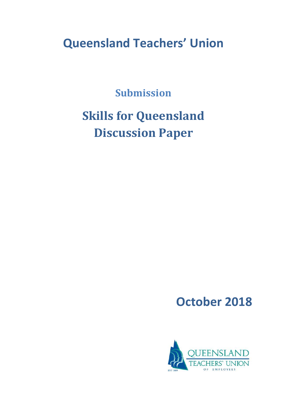## **Queensland Teachers' Union**

**Submission**

# **Skills for Queensland Discussion Paper**

**October 2018**

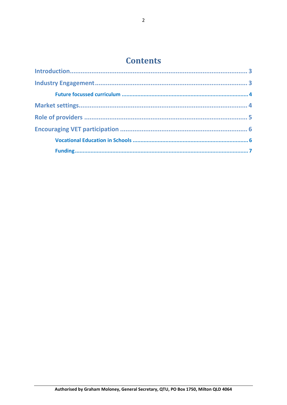### **Contents**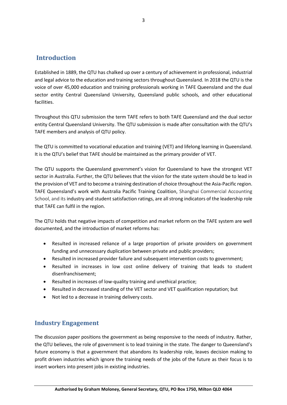#### <span id="page-2-0"></span>**Introduction**

Established in 1889, the QTU has chalked up over a century of achievement in professional, industrial and legal advice to the education and training sectors throughout Queensland. In 2018 the QTU is the voice of over 45,000 education and training professionals working in TAFE Queensland and the dual sector entity Central Queensland University, Queensland public schools, and other educational facilities.

Throughout this QTU submission the term TAFE refers to both TAFE Queensland and the dual sector entity Central Queensland University. The QTU submission is made after consultation with the QTU's TAFE members and analysis of QTU policy.

The QTU is committed to vocational education and training (VET) and lifelong learning in Queensland. It is the QTU's belief that TAFE should be maintained as the primary provider of VET.

The QTU supports the Queensland government's vision for Queensland to have the strongest VET sector in Australia. Further, the QTU believes that the vision for the state system should be to lead in the provision of VET and to become a training destination of choice throughout the Asia-Pacific region. TAFE Queensland's work with Australia Pacific Training Coalition, Shanghai Commercial Accounting School, and its industry and student satisfaction ratings, are all strong indicators of the leadership role that TAFE can fulfil in the region.

The QTU holds that negative impacts of competition and market reform on the TAFE system are well documented, and the introduction of market reforms has:

- Resulted in increased reliance of a large proportion of private providers on government funding and unnecessary duplication between private and public providers;
- Resulted in increased provider failure and subsequent intervention costs to government;
- Resulted in increases in low cost online delivery of training that leads to student disenfranchisement;
- Resulted in increases of low-quality training and unethical practice;
- Resulted in decreased standing of the VET sector and VET qualification reputation; but
- Not led to a decrease in training delivery costs.

#### <span id="page-2-1"></span>**Industry Engagement**

The discussion paper positions the government as being responsive to the needs of industry. Rather, the QTU believes, the role of government is to lead training in the state. The danger to Queensland's future economy is that a government that abandons its leadership role, leaves decision making to profit driven industries which ignore the training needs of the jobs of the future as their focus is to insert workers into present jobs in existing industries.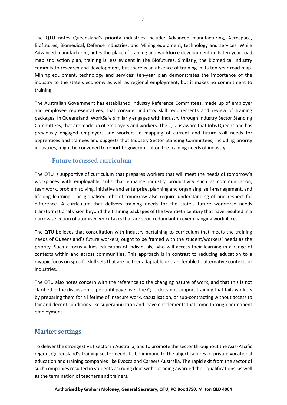The QTU notes Queensland's priority industries include: Advanced manufacturing, Aerospace, Biofutures, Biomedical, Defence industries, and Mining equipment, technology and services. While Advanced manufacturing notes the place of training and workforce development in its ten-year road map and action plan, training is less evident in the Biofutures. Similarly, the Biomedical industry commits to research and development, but there is an absence of training in its ten-year road map. Mining equipment, technology and services' ten-year plan demonstrates the importance of the industry to the state's economy as well as regional employment, but it makes no commitment to training.

The Australian Government has established Industry Reference Committees, made up of employer and employee representatives, that consider industry skill requirements and review of training packages. In Queensland, WorkSafe similarly engages with industry through Industry Sector Standing Committees, that are made up of employers and workers. The QTU is aware that Jobs Queensland has previously engaged employers and workers in mapping of current and future skill needs for apprentices and trainees and suggests that Industry Sector Standing Committees, including priority industries, might be convened to report to government on the training needs of industry.

#### <span id="page-3-0"></span>**Future focussed curriculum**

The QTU is supportive of curriculum that prepares workers that will meet the needs of tomorrow's workplaces with employable skills that enhance industry productivity such as communication, teamwork, problem solving, initiative and enterprise, planning and organising, self-management, and lifelong learning. The globalised jobs of tomorrow also require understanding of and respect for difference. A curriculum that delivers training needs for the state's future workforce needs transformational vision beyond the training packages of the twentieth century that have resulted in a narrow selection of atomised work tasks that are soon redundant in ever changing workplaces.

The QTU believes that consultation with industry pertaining to curriculum that meets the training needs of Queensland's future workers, ought to be framed with the student/workers' needs as the priority. Such a focus values education of individuals, who will access their learning in a range of contexts within and across communities. This approach is in contrast to reducing education to a myopic focus on specific skill sets that are neither adaptable or transferable to alternative contexts or industries.

The QTU also notes concern with the reference to the changing nature of work, and that this is not clarified in the discussion paper until page five. The QTU does not support training that fails workers by preparing them for a lifetime of insecure work, casualisation, or sub-contracting without access to fair and decent conditions like superannuation and leave entitlements that come through permanent employment.

#### <span id="page-3-1"></span>**Market settings**

To deliver the strongest VET sector in Australia, and to promote the sector throughout the Asia-Pacific region, Queensland's training sector needs to be immune to the abject failures of private vocational education and training companies like Evocca and Careers Australia. The rapid exit from the sector of such companies resulted in students accruing debt without being awarded their qualifications, as well as the termination of teachers and trainers.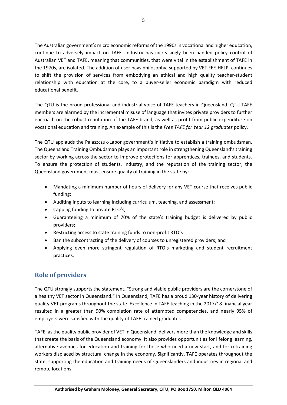The Australian government's micro economic reforms of the 1990s in vocational and higher education, continue to adversely impact on TAFE. Industry has increasingly been handed policy control of Australian VET and TAFE, meaning that communities, that were vital in the establishment of TAFE in the 1970s, are isolated. The addition of user pays philosophy, supported by VET FEE-HELP, continues to shift the provision of services from embodying an ethical and high quality teacher-student relationship with education at the core, to a buyer-seller economic paradigm with reduced educational benefit.

The QTU is the proud professional and industrial voice of TAFE teachers in Queensland. QTU TAFE members are alarmed by the incremental misuse of language that invites private providers to further encroach on the robust reputation of the TAFE brand, as well as profit from public expenditure on vocational education and training. An example of this is the *Free TAFE for Year 12 graduates* policy.

The QTU applauds the Palaszczuk-Labor government's initiative to establish a training ombudsman. The Queensland Training Ombudsman plays an important role in strengthening Queensland's training sector by working across the sector to improve protections for apprentices, trainees, and students. To ensure the protection of students, industry, and the reputation of the training sector, the Queensland government must ensure quality of training in the state by:

- Mandating a minimum number of hours of delivery for any VET course that receives public funding;
- Auditing inputs to learning including curriculum, teaching, and assessment;
- Capping funding to private RTO's;
- Guaranteeing a minimum of 70% of the state's training budget is delivered by public providers;
- Restricting access to state training funds to non-profit RTO's
- Ban the subcontracting of the delivery of courses to unregistered providers; and
- Applying even more stringent regulation of RTO's marketing and student recruitment practices.

#### <span id="page-4-0"></span>**Role of providers**

The QTU strongly supports the statement, "Strong and viable public providers are the cornerstone of a healthy VET sector in Queensland." In Queensland, TAFE has a proud 130-year history of delivering quality VET programs throughout the state. Excellence in TAFE teaching in the 2017/18 financial year resulted in a greater than 90% completion rate of attempted competencies, and nearly 95% of employers were satisfied with the quality of TAFE trained graduates.

TAFE, as the quality public provider of VET in Queensland, delivers more than the knowledge and skills that create the basis of the Queensland economy. It also provides opportunities for lifelong learning, alternative avenues for education and training for those who need a new start, and for retraining workers displaced by structural change in the economy. Significantly, TAFE operates throughout the state, supporting the education and training needs of Queenslanders and industries in regional and remote locations.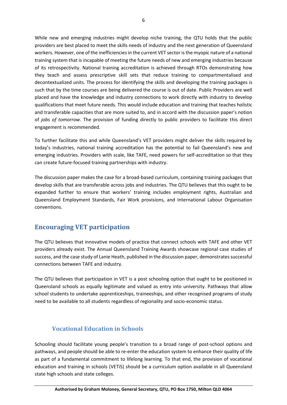While new and emerging industries might develop niche training, the QTU holds that the public providers are best placed to meet the skills needs of industry and the next generation of Queensland workers. However, one of the inefficiencies in the current VET sector is the myopic nature of a national training system that is incapable of meeting the future needs of new and emerging industries because of its retrospectivity. National training accreditation is achieved through RTOs demonstrating how they teach and assess prescriptive skill sets that reduce training to compartmentalised and decontextualized units. The process for identifying the skills and developing the training packages is such that by the time courses are being delivered the course is out of date. Public Providers are well placed and have the knowledge and industry connections to work directly with industry to develop qualifications that meet future needs. This would include education and training that teaches holistic and transferable capacities that are more suited to, and in accord with the discussion paper's notion of *jobs of tomorrow*. The provision of funding directly to public providers to facilitate this direct engagement is recommended.

To further facilitate this and while Queensland's VET providers might deliver the skills required by today's industries, national training accreditation has the potential to fail Queensland's new and emerging industries. Providers with scale, like TAFE, need powers for self-accreditation so that they can create future-focused training partnerships with industry.

The discussion paper makes the case for a broad-based curriculum, containing training packages that develop skills that are transferable across jobs and industries. The QTU believes that this ought to be expanded further to ensure that workers' training includes employment rights, Australian and Queensland Employment Standards, Fair Work provisions, and International Labour Organisation conventions.

#### <span id="page-5-0"></span>**Encouraging VET participation**

The QTU believes that innovative models of practice that connect schools with TAFE and other VET providers already exist. The Annual Queensland Training Awards showcase regional case studies of success, and the case study of Lanie Heath, published in the discussion paper, demonstrates successful connections between TAFE and industry.

The QTU believes that participation in VET is a post schooling option that ought to be positioned in Queensland schools as equally legitimate and valued as entry into university. Pathways that allow school students to undertake apprenticeships, traineeships, and other recognised programs of study need to be available to all students regardless of regionality and socio-economic status.

#### <span id="page-5-1"></span>**Vocational Education in Schools**

Schooling should facilitate young people's transition to a broad range of post-school options and pathways, and people should be able to re-enter the education system to enhance their quality of life as part of a fundamental commitment to lifelong learning. To that end, the provision of vocational education and training in schools (VETiS) should be a curriculum option available in all Queensland state high schools and state colleges.